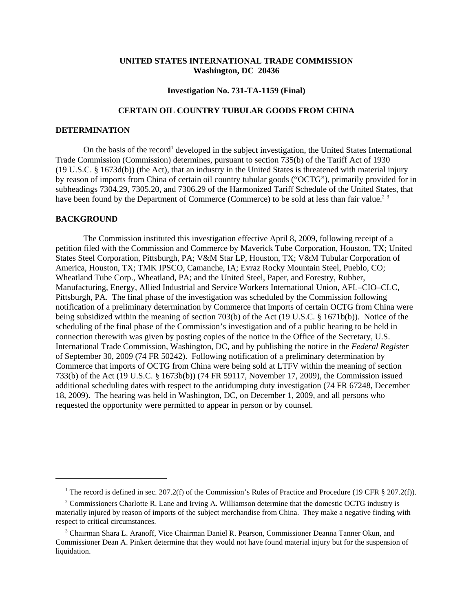## **UNITED STATES INTERNATIONAL TRADE COMMISSION Washington, DC 20436**

#### **Investigation No. 731-TA-1159 (Final)**

# **CERTAIN OIL COUNTRY TUBULAR GOODS FROM CHINA**

### **DETERMINATION**

On the basis of the record<sup>1</sup> developed in the subject investigation, the United States International Trade Commission (Commission) determines, pursuant to section 735(b) of the Tariff Act of 1930 (19 U.S.C. § 1673d(b)) (the Act), that an industry in the United States is threatened with material injury by reason of imports from China of certain oil country tubular goods ("OCTG"), primarily provided for in subheadings 7304.29, 7305.20, and 7306.29 of the Harmonized Tariff Schedule of the United States, that have been found by the Department of Commerce (Commerce) to be sold at less than fair value.<sup>2 3</sup>

### **BACKGROUND**

The Commission instituted this investigation effective April 8, 2009, following receipt of a petition filed with the Commission and Commerce by Maverick Tube Corporation, Houston, TX; United States Steel Corporation, Pittsburgh, PA; V&M Star LP, Houston, TX; V&M Tubular Corporation of America, Houston, TX; TMK IPSCO, Camanche, IA; Evraz Rocky Mountain Steel, Pueblo, CO; Wheatland Tube Corp., Wheatland, PA; and the United Steel, Paper, and Forestry, Rubber, Manufacturing, Energy, Allied Industrial and Service Workers International Union, AFL–CIO–CLC, Pittsburgh, PA. The final phase of the investigation was scheduled by the Commission following notification of a preliminary determination by Commerce that imports of certain OCTG from China were being subsidized within the meaning of section 703(b) of the Act (19 U.S.C. § 1671b(b)). Notice of the scheduling of the final phase of the Commission's investigation and of a public hearing to be held in connection therewith was given by posting copies of the notice in the Office of the Secretary, U.S. International Trade Commission, Washington, DC, and by publishing the notice in the *Federal Register* of September 30, 2009 (74 FR 50242). Following notification of a preliminary determination by Commerce that imports of OCTG from China were being sold at LTFV within the meaning of section 733(b) of the Act (19 U.S.C. § 1673b(b)) (74 FR 59117, November 17, 2009), the Commission issued additional scheduling dates with respect to the antidumping duty investigation (74 FR 67248, December 18, 2009). The hearing was held in Washington, DC, on December 1, 2009, and all persons who requested the opportunity were permitted to appear in person or by counsel.

<sup>&</sup>lt;sup>1</sup> The record is defined in sec. 207.2(f) of the Commission's Rules of Practice and Procedure (19 CFR § 207.2(f)).

<sup>&</sup>lt;sup>2</sup> Commissioners Charlotte R. Lane and Irving A. Williamson determine that the domestic OCTG industry is materially injured by reason of imports of the subject merchandise from China. They make a negative finding with respect to critical circumstances.

<sup>&</sup>lt;sup>3</sup> Chairman Shara L. Aranoff, Vice Chairman Daniel R. Pearson, Commissioner Deanna Tanner Okun, and Commissioner Dean A. Pinkert determine that they would not have found material injury but for the suspension of liquidation.